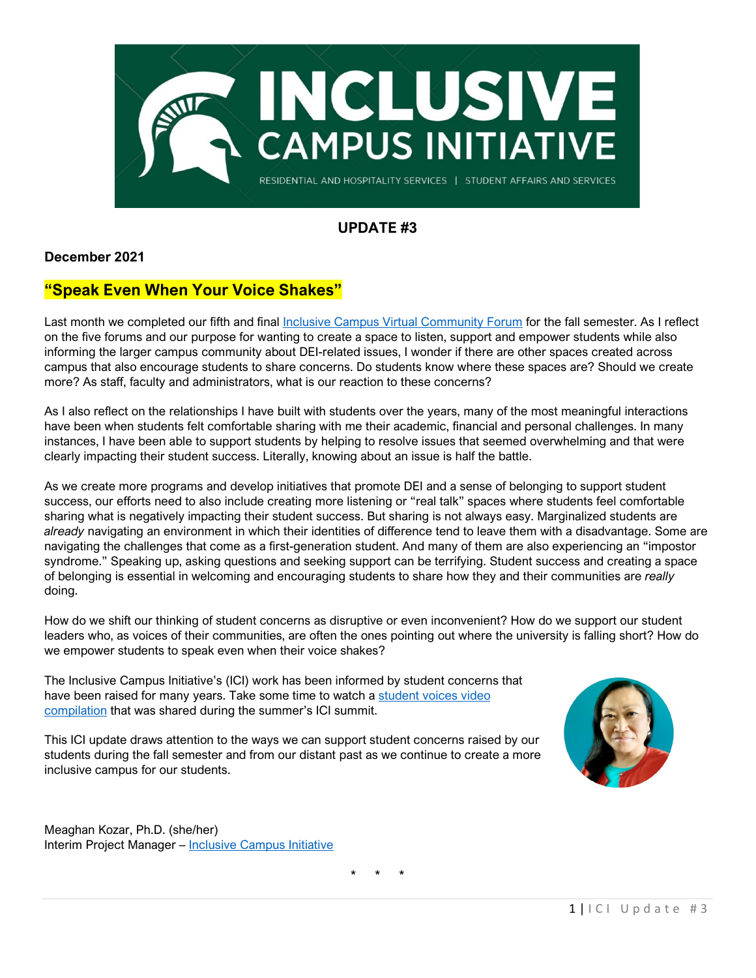

### **UPDATE #3**

### **December 2021**

### **"Speak Even When Your Voice Shakes"**

Last month we completed our fifth and final [Inclusive Campus Virtual Community Forum](https://ocat.msu.edu/ici-virtual-community-forums/) for the fall semester. As I reflect on the five forums and our purpose for wanting to create a space to listen, support and empower students while also informing the larger campus community about DEI-related issues, I wonder if there are other spaces created across campus that also encourage students to share concerns. Do students know where these spaces are? Should we create more? As staff, faculty and administrators, what is our reaction to these concerns?

As I also reflect on the relationships I have built with students over the years, many of the most meaningful interactions have been when students felt comfortable sharing with me their academic, financial and personal challenges. In many instances, I have been able to support students by helping to resolve issues that seemed overwhelming and that were clearly impacting their student success. Literally, knowing about an issue is half the battle.

As we create more programs and develop initiatives that promote DEI and a sense of belonging to support student success, our efforts need to also include creating more listening or "real talk" spaces where students feel comfortable sharing what is negatively impacting their student success. But sharing is not always easy. Marginalized students are *already* navigating an environment in which their identities of difference tend to leave them with a disadvantage. Some are navigating the challenges that come as a first-generation student. And many of them are also experiencing an "impostor syndrome." Speaking up, asking questions and seeking support can be terrifying. Student success and creating a space of belonging is essential in welcoming and encouraging students to share how they and their communities are *really* doing.

How do we shift our thinking of student concerns as disruptive or even inconvenient? How do we support our student leaders who, as voices of their communities, are often the ones pointing out where the university is falling short? How do we empower students to speak even when their voice shakes?

The Inclusive Campus Initiative's (ICI) work has been informed by student concerns that have been raised for many years. Take some time to watch a student voices video [compilation](https://mediaspace.msu.edu/media/ICI+Summit+Student+Voices+B.mp4/1_x3vq2571) that was shared during the summer's ICI summit.

This ICI update draws attention to the ways we can support student concerns raised by our students during the fall semester and from our distant past as we continue to create a more inclusive campus for our students.



Meaghan Kozar, Ph.D. (she/her) Interim Project Manager – [Inclusive Campus Initiative](https://ocat.msu.edu/inclusive-campus-initiative/)

\* \* \*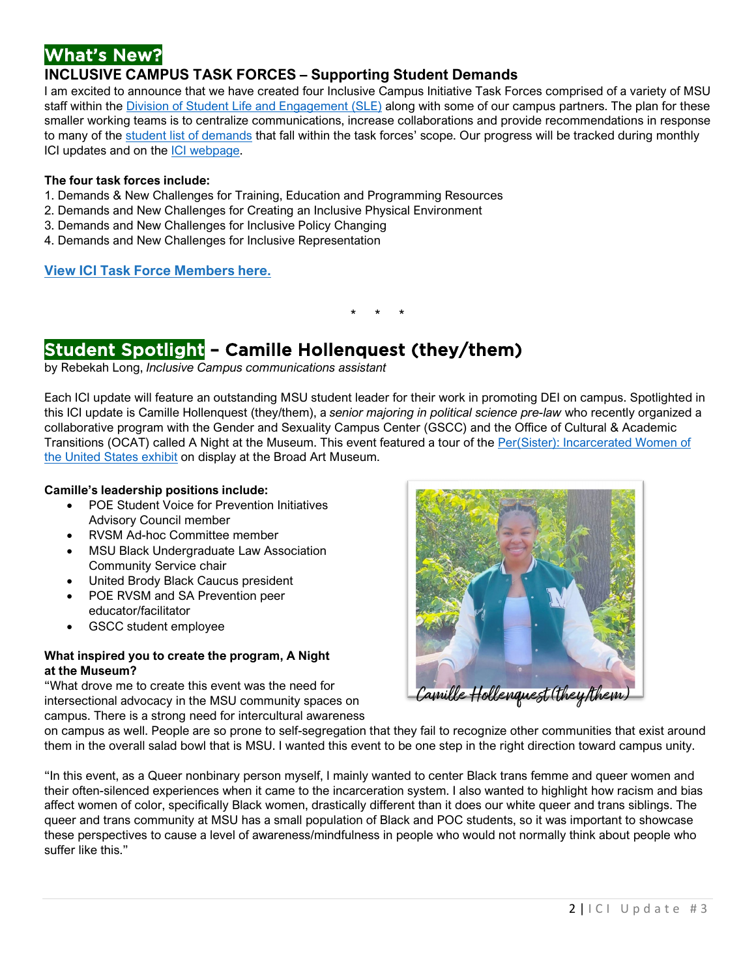# What's New?

### **INCLUSIVE CAMPUS TASK FORCES – Supporting Student Demands**

I am excited to announce that we have created four Inclusive Campus Initiative Task Forces comprised of a variety of MSU staff within the [Division of Student Life and Engagement \(SLE\)](https://rhs.msu.edu/news/student-life-engagement) along with some of our campus partners. The plan for these smaller working teams is to centralize communications, increase collaborations and provide recommendations in response to many of the [student list of demands](https://ocat.msu.edu/student-list-of-demands/) that fall within the task forces' scope. Our progress will be tracked during monthly ICI updates and on the [ICI webpage.](https://ocat.msu.edu/ici-task-forces-2/) 

#### **The four task forces include:**

- 1. Demands & New Challenges for Training, Education and Programming Resources
- 2. Demands and New Challenges for Creating an Inclusive Physical Environment
- 3. Demands and New Challenges for Inclusive Policy Changing
- 4. Demands and New Challenges for Inclusive Representation

#### **[View ICI Task Force Members here.](https://ocat.msu.edu/ici-task-forces/)**

\* \* \*

# Student Spotlight - Camille Hollenquest (they/them)

by Rebekah Long, *Inclusive Campus communications assistant*

Each ICI update will feature an outstanding MSU student leader for their work in promoting DEI on campus. Spotlighted in this ICI update is Camille Hollenquest (they/them), a *senior majoring in political science pre-law* who recently organized a collaborative program with the Gender and Sexuality Campus Center (GSCC) and the Office of Cultural & Academic Transitions (OCAT) called A Night at the Museum. This event featured a tour of the Per(Sister): Incarcerated Women of [the United States exhibit](https://broadmuseum.msu.edu/exhibitions/persister#:%7E:text=Per(Sister)%20is%20a%20traveling,%3A%20Zoe%20Kissel%2FMSU%20Broad.) on display at the Broad Art Museum.

#### **Camille's leadership positions include:**

- POE Student Voice for Prevention Initiatives Advisory Council member
- RVSM Ad-hoc Committee member
- MSU Black Undergraduate Law Association Community Service chair
- United Brody Black Caucus president
- POE RVSM and SA Prevention peer educator/facilitator
- GSCC student employee

#### **What inspired you to create the program, A Night at the Museum?**

"What drove me to create this event was the need for intersectional advocacy in the MSU community spaces on campus. There is a strong need for intercultural awareness



on campus as well. People are so prone to self-segregation that they fail to recognize other communities that exist around them in the overall salad bowl that is MSU. I wanted this event to be one step in the right direction toward campus unity.

"In this event, as a Queer nonbinary person myself, I mainly wanted to center Black trans femme and queer women and their often-silenced experiences when it came to the incarceration system. I also wanted to highlight how racism and bias affect women of color, specifically Black women, drastically different than it does our white queer and trans siblings. The queer and trans community at MSU has a small population of Black and POC students, so it was important to showcase these perspectives to cause a level of awareness/mindfulness in people who would not normally think about people who suffer like this."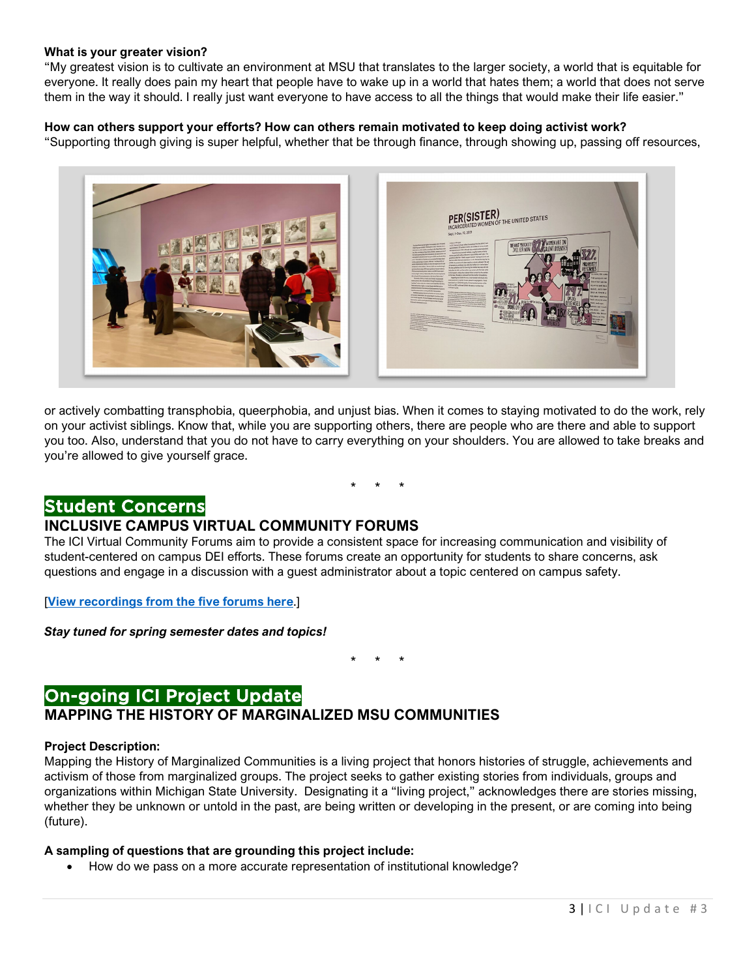#### **What is your greater vision?**

"My greatest vision is to cultivate an environment at MSU that translates to the larger society, a world that is equitable for everyone. It really does pain my heart that people have to wake up in a world that hates them; a world that does not serve them in the way it should. I really just want everyone to have access to all the things that would make their life easier."

#### **How can others support your efforts? How can others remain motivated to keep doing activist work?**

"Supporting through giving is super helpful, whether that be through finance, through showing up, passing off resources,



or actively combatting transphobia, queerphobia, and unjust bias. When it comes to staying motivated to do the work, rely on your activist siblings. Know that, while you are supporting others, there are people who are there and able to support you too. Also, understand that you do not have to carry everything on your shoulders. You are allowed to take breaks and you're allowed to give yourself grace.

\* \* \*

### Student Concerns

### **INCLUSIVE CAMPUS VIRTUAL COMMUNITY FORUMS**

The ICI Virtual Community Forums aim to provide a consistent space for increasing communication and visibility of student-centered on campus DEI efforts. These forums create an opportunity for students to share concerns, ask questions and engage in a discussion with a guest administrator about a topic centered on campus safety.

[**[View recordings from the five forums here](https://ocat.msu.edu/ici-virtual-community-forums/)**.]

*Stay tuned for spring semester dates and topics!*

\* \* \*

## On-going ICI Project Update

### **MAPPING THE HISTORY OF MARGINALIZED MSU COMMUNITIES**

#### **Project Description:**

Mapping the History of Marginalized Communities is a living project that honors histories of struggle, achievements and activism of those from marginalized groups. The project seeks to gather existing stories from individuals, groups and organizations within Michigan State University. Designating it a "living project," acknowledges there are stories missing, whether they be unknown or untold in the past, are being written or developing in the present, or are coming into being (future).

#### **A sampling of questions that are grounding this project include:**

• How do we pass on a more accurate representation of institutional knowledge?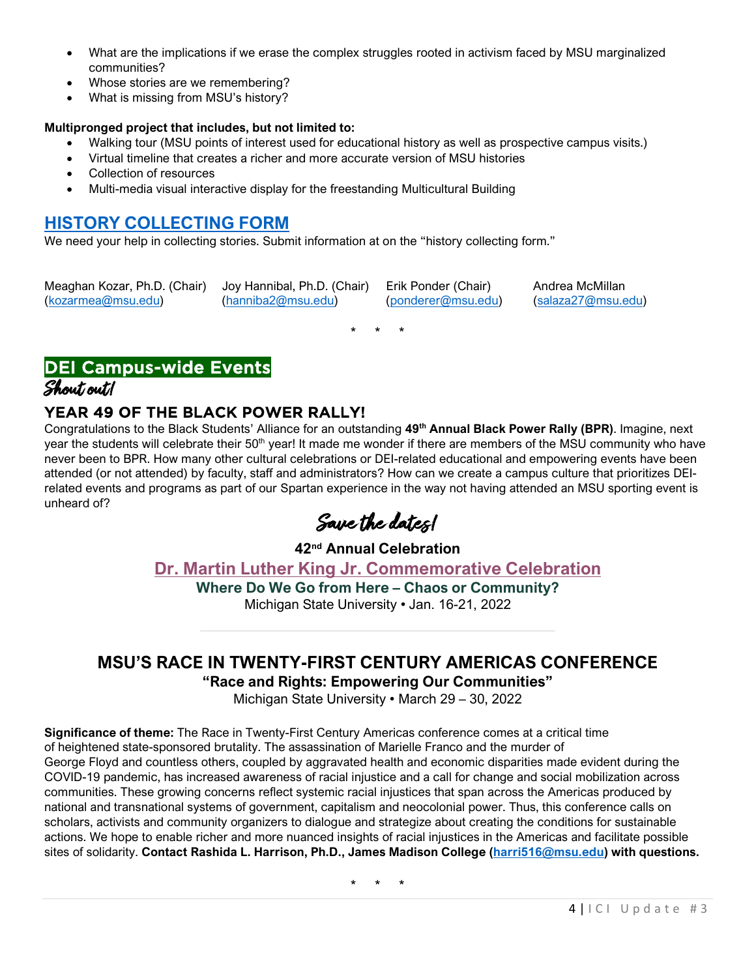- What are the implications if we erase the complex struggles rooted in activism faced by MSU marginalized communities?
- Whose stories are we remembering?
- What is missing from MSU's history?

#### **Multipronged project that includes, but not limited to:**

- Walking tour (MSU points of interest used for educational history as well as prospective campus visits.)
- Virtual timeline that creates a richer and more accurate version of MSU histories
- Collection of resources
- Multi-media visual interactive display for the freestanding Multicultural Building

### **[HISTORY COLLECTING FORM](https://docs.google.com/forms/d/e/1FAIpQLSeWdlJOxLilORzKZbPEyAwNwFQliVJv7DgPuUvTaxSXTb3uvQ/viewform)**

We need your help in collecting stories. Submit information at on the "history collecting form."

Meaghan Kozar, Ph.D. (Chair) Joy Hannibal, Ph.D. (Chair) Erik Ponder (Chair) Andrea McMillan [\(kozarmea@msu.edu\)](mailto:kozarmea@msu.edu) [\(hanniba2@msu.edu\)](mailto:hanniba2@msu.edu) [\(ponderer@msu.edu\)](mailto:ponderer@msu.edu) [\(salaza27@msu.edu\)](mailto:salaza27@msu.edu)

\* \* \*

### DEI Campus-wide Events Shout out!

### YEAR 49 OF THE BLACK POWER RALLY!

Congratulations to the Black Students' Alliance for an outstanding **49th Annual Black Power Rally (BPR)**. Imagine, next year the students will celebrate their 50<sup>th</sup> year! It made me wonder if there are members of the MSU community who have never been to BPR. How many other cultural celebrations or DEI-related educational and empowering events have been attended (or not attended) by faculty, staff and administrators? How can we create a campus culture that prioritizes DEIrelated events and programs as part of our Spartan experience in the way not having attended an MSU sporting event is unheard of?

Save the dates!

**42nd Annual Celebration [Dr. Martin Luther King Jr. Commemorative Celebration](https://inclusion.msu.edu/awards/mlk-commemorative-celebration/index.html)**

**Where Do We Go from Here – Chaos or Community?**

Michigan State University • Jan. 16-21, 2022

# **MSU'S RACE IN TWENTY-FIRST CENTURY AMERICAS CONFERENCE**

**"Race and Rights: Empowering Our Communities"**

Michigan State University • March 29 – 30, 2022

**Significance of theme:** The Race in Twenty-First Century Americas conference comes at a critical time of heightened state-sponsored brutality. The assassination of Marielle Franco and the murder of George Floyd and countless others, coupled by aggravated health and economic disparities made evident during the COVID-19 pandemic, has increased awareness of racial injustice and a call for change and social mobilization across communities. These growing concerns reflect systemic racial injustices that span across the Americas produced by national and transnational systems of government, capitalism and neocolonial power. Thus, this conference calls on scholars, activists and community organizers to dialogue and strategize about creating the conditions for sustainable actions. We hope to enable richer and more nuanced insights of racial injustices in the Americas and facilitate possible sites of solidarity. **Contact Rashida L. Harrison, Ph.D., James Madison College [\(harri516@msu.edu\)](mailto:harri516@msu.edu) with questions.**

\* \* \*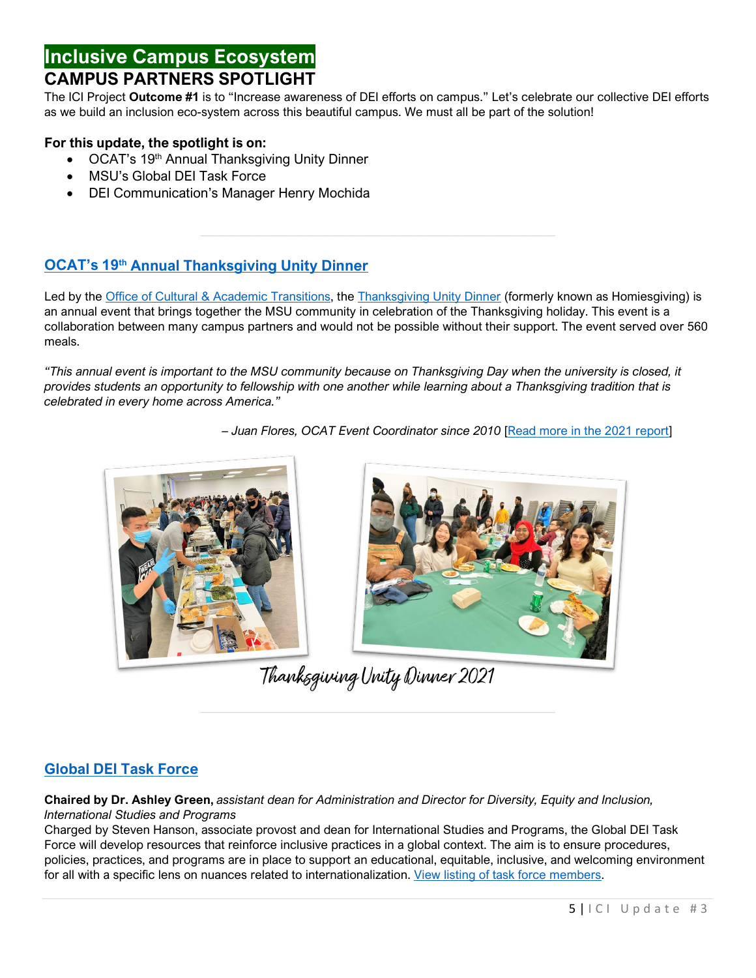### **Inclusive Campus Ecosystem CAMPUS PARTNERS SPOTLIGHT**

The ICI Project **Outcome #1** is to "Increase awareness of DEI efforts on campus." Let's celebrate our collective DEI efforts as we build an inclusion eco-system across this beautiful campus. We must all be part of the solution!

### **For this update, the spotlight is on:**

- OCAT's 19<sup>th</sup> Annual Thanksgiving Unity Dinner
- MSU's Global DEI Task Force
- DEI Communication's Manager Henry Mochida

### **OCAT's 19th Annual [Thanksgiving Unity Dinner](https://ocat.msu.edu/thanksgiving-unity-dinner-2/)**

Led by the [Office of Cultural & Academic Transitions,](https://ocat.msu.edu/) the [Thanksgiving Unity Dinner](https://ocat.msu.edu/thanksgiving-unity-dinner-2/) (formerly known as Homiesgiving) is an annual event that brings together the MSU community in celebration of the Thanksgiving holiday. This event is a collaboration between many campus partners and would not be possible without their support. The event served over 560 meals.

*"This annual event is important to the MSU community because on Thanksgiving Day when the university is closed, it provides students an opportunity to fellowship with one another while learning about a Thanksgiving tradition that is celebrated in every home across America."* 

*– Juan Flores, OCAT Event Coordinator since 2010* [\[Read more in the 2021 report\]](https://ocat.msu.edu/wp-content/uploads/2021/12/Unity-Dinner-Report-Final.pdf)



Thanksgiving Unity Dinner 2021

### **[Global DEI Task Force](https://www.isp.msu.edu/about/dei/global-dei-task-force/)**

**Chaired by Dr. Ashley Green,** *assistant dean for Administration and Director for Diversity, Equity and Inclusion, International Studies and Programs*

Charged by Steven Hanson, associate provost and dean for International Studies and Programs, the Global DEI Task Force will develop resources that reinforce inclusive practices in a global context. The aim is to ensure procedures, policies, practices, and programs are in place to support an educational, equitable, inclusive, and welcoming environment for all with a specific lens on nuances related to internationalization. [View listing of task force members.](https://www.isp.msu.edu/about/dei/global-dei-task-force/)